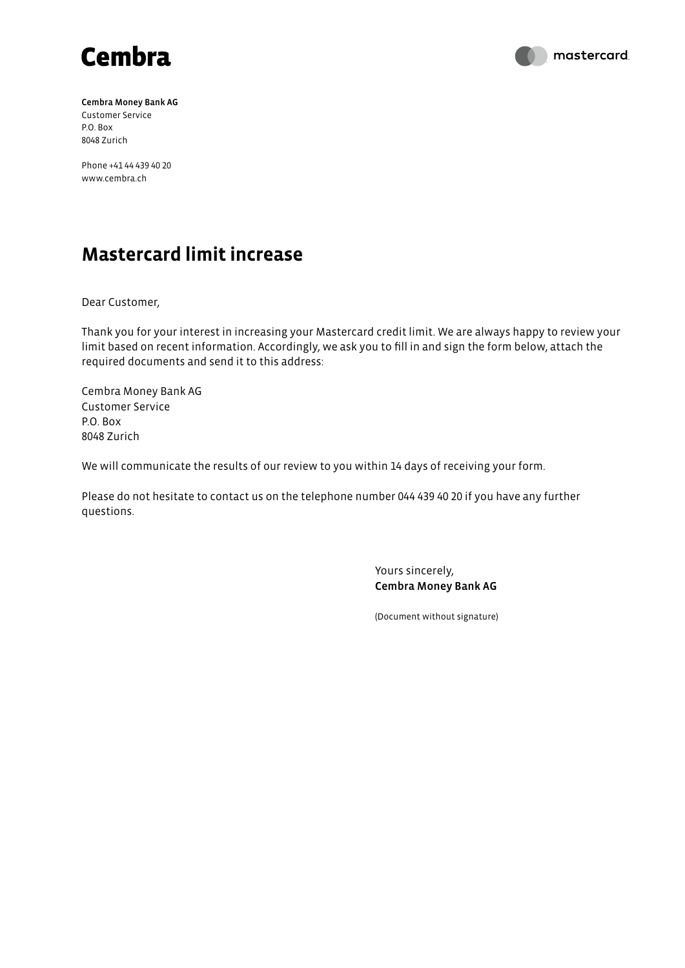



Cembra Money Bank AG Customer Service P.O. Box 8048 Zurich

Phone +41 44 439 40 20 www.cembra.ch

## **Mastercard limit increase**

Dear Customer,

Thank you for your interest in increasing your Mastercard credit limit. We are always happy to review your limit based on recent information. Accordingly, we ask you to fill in and sign the form below, attach the required documents and send it to this address:

Cembra Money Bank AG Customer Service P.O. Box 8048 Zurich

We will communicate the results of our review to you within 14 days of receiving your form.

Please do not hesitate to contact us on the telephone number 044 439 40 20 if you have any further questions.

> Yours sincerely, Cembra Money Bank AG

(Document without signature)